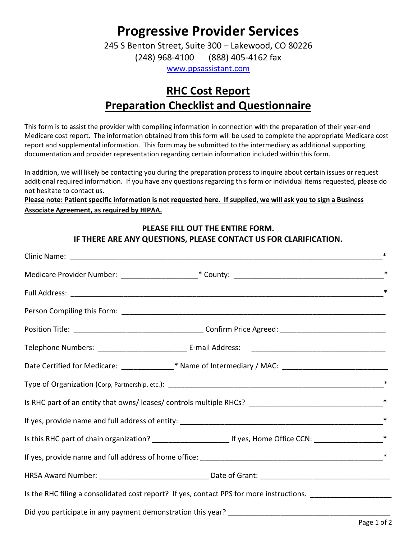# Progressive Provider Services

245 S Benton Street, Suite 300 – Lakewood, CO 80226 (248) 968-4100 (888) 405-4162 fax

www.ppsassistant.com

## RHC Cost Report Preparation Checklist and Questionnaire

This form is to assist the provider with compiling information in connection with the preparation of their year-end Medicare cost report. The information obtained from this form will be used to complete the appropriate Medicare cost report and supplemental information. This form may be submitted to the intermediary as additional supporting documentation and provider representation regarding certain information included within this form.

In addition, we will likely be contacting you during the preparation process to inquire about certain issues or request additional required information. If you have any questions regarding this form or individual items requested, please do not hesitate to contact us.

Please note: Patient specific information is not requested here. If supplied, we will ask you to sign a Business Associate Agreement, as required by HIPAA.

#### PLEASE FILL OUT THE ENTIRE FORM. IF THERE ARE ANY QUESTIONS, PLEASE CONTACT US FOR CLARIFICATION.

|                                                                                                                | $\ast$ |
|----------------------------------------------------------------------------------------------------------------|--------|
|                                                                                                                | ∗      |
|                                                                                                                |        |
|                                                                                                                |        |
|                                                                                                                |        |
| Date Certified for Medicare: _____________* Name of Intermediary / MAC: ____________________________           |        |
|                                                                                                                | $\ast$ |
|                                                                                                                | $\ast$ |
|                                                                                                                | $\ast$ |
|                                                                                                                |        |
|                                                                                                                | $\ast$ |
|                                                                                                                |        |
| Is the RHC filing a consolidated cost report? If yes, contact PPS for more instructions. _____________________ |        |
|                                                                                                                |        |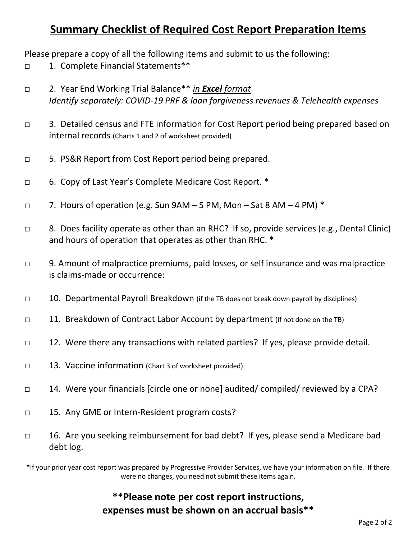### Summary Checklist of Required Cost Report Preparation Items

Please prepare a copy of all the following items and submit to us the following:

- □ 1. Complete Financial Statements\*\*
- □ 2. Year End Working Trial Balance\*\* in Excel format Identify separately: COVID-19 PRF & loan forgiveness revenues & Telehealth expenses
- □ 3. Detailed census and FTE information for Cost Report period being prepared based on internal records (Charts 1 and 2 of worksheet provided)
- □ 5. PS&R Report from Cost Report period being prepared.
- □ 6. Copy of Last Year's Complete Medicare Cost Report. \*
- $\Box$  7. Hours of operation (e.g. Sun 9AM 5 PM, Mon Sat 8 AM 4 PM)  $^*$
- □ 8. Does facility operate as other than an RHC? If so, provide services (e.g., Dental Clinic) and hours of operation that operates as other than RHC. \*
- □ 9. Amount of malpractice premiums, paid losses, or self insurance and was malpractice is claims-made or occurrence:
- $\Box$  10. Departmental Payroll Breakdown (if the TB does not break down payroll by disciplines)
- □ 11. Breakdown of Contract Labor Account by department (if not done on the TB)
- □ 12. Were there any transactions with related parties? If yes, please provide detail.
- □ 13. Vaccine information (Chart 3 of worksheet provided)
- □ 14. Were your financials [circle one or none] audited/ compiled/ reviewed by a CPA?
- □ 15. Any GME or Intern-Resident program costs?
- □ 16. Are you seeking reimbursement for bad debt? If yes, please send a Medicare bad debt log.

\*If your prior year cost report was prepared by Progressive Provider Services, we have your information on file. If there were no changes, you need not submit these items again.

### \*\*Please note per cost report instructions, expenses must be shown on an accrual basis\*\*